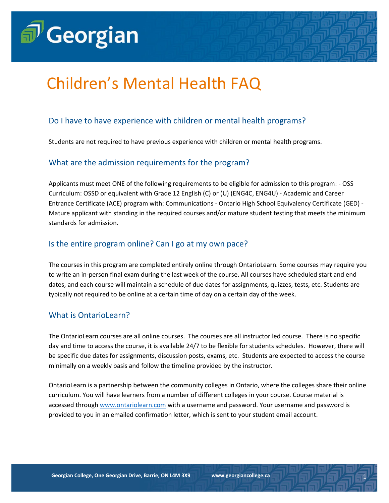

# Children's Mental Health FAQ

# Do I have to have experience with children or mental health programs?

Students are not required to have previous experience with children or mental health programs.

#### What are the admission requirements for the program?

Applicants must meet ONE of the following requirements to be eligible for admission to this program: - OSS Curriculum: OSSD or equivalent with Grade 12 English (C) or (U) (ENG4C, ENG4U) - Academic and Career Entrance Certificate (ACE) program with: Communications - Ontario High School Equivalency Certificate (GED) - Mature applicant with standing in the required courses and/or mature student testing that meets the minimum standards for admission.

## Is the entire program online? Can I go at my own pace?

The courses in this program are completed entirely online through OntarioLearn. Some courses may require you to write an in-person final exam during the last week of the course. All courses have scheduled start and end dates, and each course will maintain a schedule of due dates for assignments, quizzes, tests, etc. Students are typically not required to be online at a certain time of day on a certain day of the week.

#### What is OntarioLearn?

The OntarioLearn courses are all online courses. The courses are all instructor led course. There is no specific day and time to access the course, it is available 24/7 to be flexible for students schedules. However, there will be specific due dates for assignments, discussion posts, exams, etc. Students are expected to access the course minimally on a weekly basis and follow the timeline provided by the instructor.

OntarioLearn is a partnership between the community colleges in Ontario, where the colleges share their online curriculum. You will have learners from a number of different colleges in your course. Course material is accessed through [www.ontariolearn.com](http://www.ontariolearn.com/) with a username and password. Your username and password is provided to you in an emailed confirmation letter, which is sent to your student email account.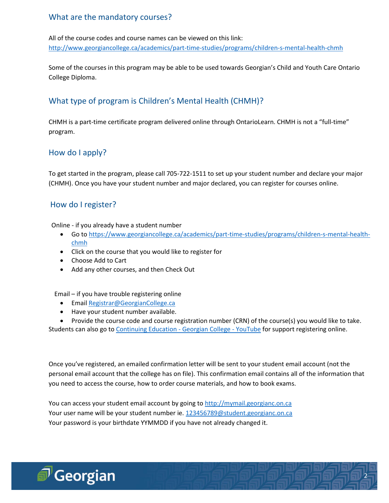# What are the mandatory courses?

All of the course codes and course names can be viewed on this link: <http://www.georgiancollege.ca/academics/part-time-studies/programs/children-s-mental-health-chmh>

Some of the courses in this program may be able to be used towards Georgian's Child and Youth Care Ontario College Diploma.

# What type of program is Children's Mental Health (CHMH)?

CHMH is a part-time certificate program delivered online through OntarioLearn. CHMH is not a "full-time" program.

# How do I apply?

To get started in the program, please call 705-722-1511 to set up your student number and declare your major (CHMH). Once you have your student number and major declared, you can register for courses online.

## How do I register?

Online - if you already have a student number

- Go t[o https://www.georgiancollege.ca/academics/part-time-studies/programs/children-s-mental-health](https://www.georgiancollege.ca/academics/part-time-studies/programs/children-s-mental-health-chmh)[chmh](https://www.georgiancollege.ca/academics/part-time-studies/programs/children-s-mental-health-chmh)
- Click on the course that you would like to register for
- Choose Add to Cart
- Add any other courses, and then Check Out

Email – if you have trouble registering online

- **•** Emai[l Registrar@GeorgianCollege.ca](mailto:Registrar@GeorgianCollege.ca)
- Have your student number available.
- Provide the course code and course registration number (CRN) of the course(s) you would like to take.

Students can also go t[o Continuing Education -](https://www.youtube.com/watch?v=IAXDTi7FIRI) Georgian College - YouTube for support registering online.

Once you've registered, an emailed confirmation letter will be sent to your student email account (not the personal email account that the college has on file). This confirmation email contains all of the information that you need to access the course, how to order course materials, and how to book exams.

2

You can access your student email account by going t[o http://mymail.georgianc.on.ca](http://mymail.georgianc.on.ca/) Your user name will be your student number ie. [123456789@student.georgianc.on.ca](mailto:123456789@student.georgianc.on.ca) Your password is your birthdate YYMMDD if you have not already changed it.